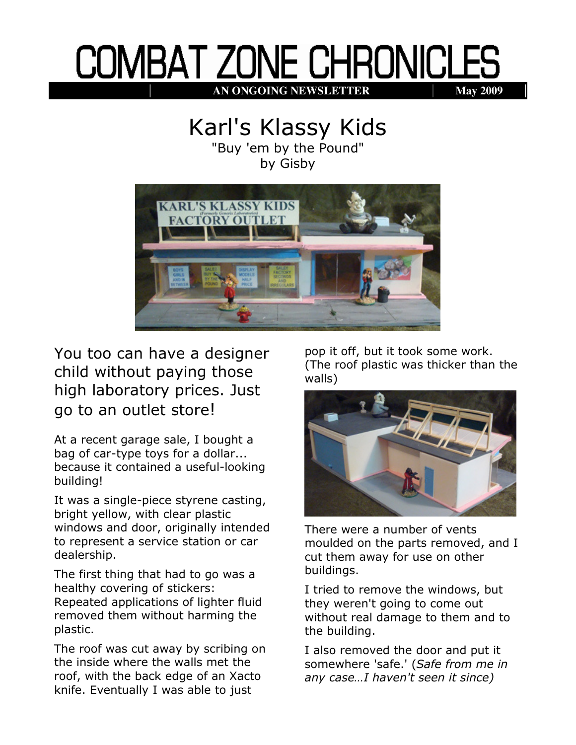## **COMBAT ZONE CHRONICLES AN ONGOING NEWSLETTER May 2009**

## Karl's Klassy Kids

"Buy 'em by the Pound" by Gisby



You too can have a designer child without paying those high laboratory prices. Just go to an outlet store!

At a recent garage sale, I bought a bag of car-type toys for a dollar... because it contained a useful-looking building!

It was a single-piece styrene casting, bright yellow, with clear plastic windows and door, originally intended to represent a service station or car dealership.

The first thing that had to go was a healthy covering of stickers: Repeated applications of lighter fluid removed them without harming the plastic.

The roof was cut away by scribing on the inside where the walls met the roof, with the back edge of an Xacto knife. Eventually I was able to just

pop it off, but it took some work. (The roof plastic was thicker than the walls)



There were a number of vents moulded on the parts removed, and I cut them away for use on other buildings.

I tried to remove the windows, but they weren't going to come out without real damage to them and to the building.

I also removed the door and put it somewhere 'safe.' (Safe from me in any case…I haven't seen it since)